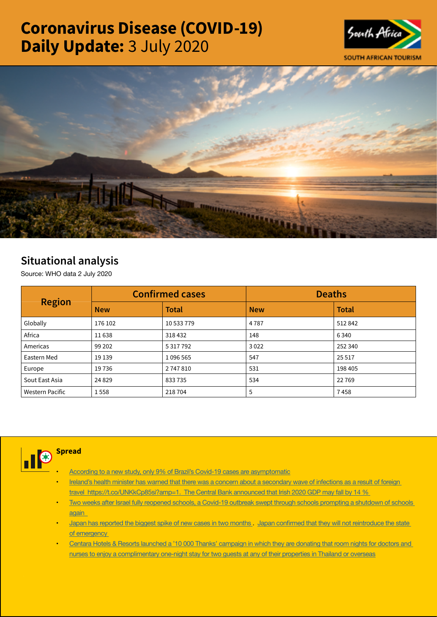# Coronavirus Disease (COVID-19) Daily Update: 3 July 2020





## Situational analysis

Source: WHO data 2 July 2020

| <b>Region</b>   |            | <b>Confirmed cases</b> | <b>Deaths</b> |              |  |
|-----------------|------------|------------------------|---------------|--------------|--|
|                 | <b>New</b> | <b>Total</b>           | <b>New</b>    | <b>Total</b> |  |
| Globally        | 176 102    | 10 533 779             | 4787          | 512842       |  |
| Africa          | 11638      | 318432                 | 148           | 6340         |  |
| Americas        | 99 202     | 5 317 792              | 3022          | 252 340      |  |
| Eastern Med     | 19 139     | 1096565                | 547           | 25 5 17      |  |
| Europe          | 19736      | 2747810                | 531           | 198 405      |  |
| Sout East Asia  | 24 8 29    | 833735                 | 534           | 22769        |  |
| Western Pacific | 1558       | 218704                 | 5             | 7458         |  |



### **Spread**

- [According to a new study, only 9% of Brazil's Covid-19 cases are asymptomatic](https://t.co/MIOr6gG5m6?amp=1)
- Ireland's health minister has warned that there was a concern about a secondary wave of infections as a result of foreign travel https://t.co/UNKkCp85si?amp=1. The Central Bank announced that Irish 2020 GDP may fall by 14 %
- Two weeks after Israel fully reopened schools, a Covid-19 outbreak swept through schools prompting a shutdown of schools [again](https://t.co/watDDuTvMu?amp=1)
- [Japan has reported the biggest spike of new cases in two months](https://t.co/kzPyedLw0i?amp=1) . Japan confirmed that they will not [reintroduce](https://t.co/uQFJ4ftSrf?amp=1) the state [of emergency](https://t.co/uQFJ4ftSrf?amp=1)
- Centara Hotels & Resorts launched a '10 000 Thanks' campaign in which they are donating that room nights for doctors and [nurses to enjoy a complimentary one-night stay for two guests at any of their properties in Thailand or overseas](https://is.gd/OceqGm)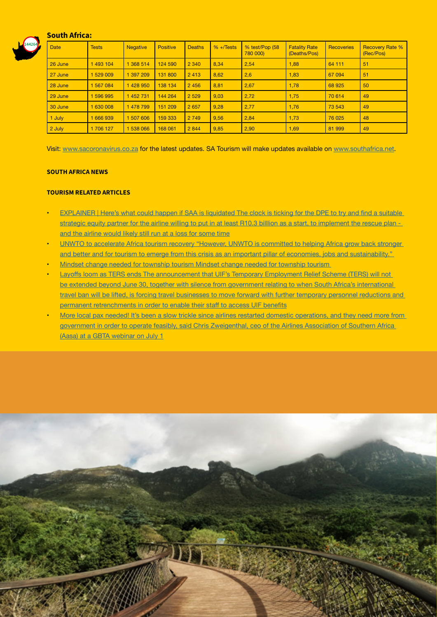#### South Africa:



| <b>Date</b> | <b>Tests</b> | <b>Negative</b> | <b>Positive</b> | <b>Deaths</b> | $% + \sqrt{6}$ | % test/Pop (58<br>780 000) | <b>Fatality Rate</b><br>(Deaths/Pos) | Recoveries | <b>Recovery Rate %</b><br>(Rec/Pos) |
|-------------|--------------|-----------------|-----------------|---------------|----------------|----------------------------|--------------------------------------|------------|-------------------------------------|
| 26 June     | 493 104      | 368 514         | 124 590         | 2 3 4 0       | 8,34           | 2,54                       | 1,88                                 | 64 111     | 51                                  |
| 27 June     | 1529009      | 397 209         | 131 800         | 2413          | 8,62           | 2,6                        | 1,83                                 | 67 094     | 51                                  |
| 28 June     | 1567084      | 428 950         | 138 134         | 2 4 5 6       | 8,81           | 2,67                       | 1,78                                 | 68 9 25    | 50                                  |
| 29 June     | 596 995      | 452 731         | 144 264         | 2 5 2 9       | 9,03           | 2,72                       | 1,75                                 | 70 614     | 49                                  |
| 30 June     | 630 008      | 478 799         | 151 209         | 2 6 5 7       | 9,28           | 2,77                       | 1,76                                 | 73 543     | 49                                  |
| 1 July      | 666939       | 507 606         | 159 333         | 2 7 4 9       | 9,56           | 2,84                       | 1,73                                 | 76 0 25    | 48                                  |
| 2 July      | 1706 127     | 538 066         | 168 061         | 2 8 4 4       | 9,85           | 2,90                       | 1,69                                 | 81 999     | 49                                  |

Visit: [www.sacoronavirus.co.za](http://www.sacoronavirus.co.za) for the latest updates. SA Tourism will make updates available on [www.southafrica.net](http://www.southafrica.net).

#### SOUTH AFRICA NEWS

#### TOURISM RELATED ARTICLES

- [EXPLAINER](https://www.news24.com/fin24/companies/industrial/explainer-heres-what-could-happen-if-saa-is-liquidated-20200703) | Here's what could happen if SAA is liquidated The clock is ticking for the DPE to try and find a suitable [strategic equity partner for the airline willing to put in at least R10.3 billlion as a start, to implement the rescue plan](https://www.news24.com/fin24/companies/industrial/explainer-heres-what-could-happen-if-saa-is-liquidated-20200703)  [and the airline would likely still run at a loss for some time](https://www.news24.com/fin24/companies/industrial/explainer-heres-what-could-happen-if-saa-is-liquidated-20200703)
- UNWTO to accelerate Africa tourism recovery "However, UNWTO is committed to helping Africa grow back stronger [and better and for tourism to emerge from this crisis as an important pillar of economies, jobs and sustainability."](http://www.tourismupdate.co.za/article/199737/UNWTO-to-accelerate-Africa-tourism-recovery)
- Mindset change needed for township tourism Mindset change needed for township tourism
- Layoffs loom as TERS ends The [announcement](https://www.travelnews.co.za/article/layoffs-loom-ters-ends) that UIF's Temporary Employment Relief Scheme (TERS) will not be extended beyond June 30, together with silence from government relating to when South Africa's international travel ban will be lifted, is forcing travel businesses to move forward with further temporary personnel reductions and permanent [retrenchments](https://www.travelnews.co.za/article/layoffs-loom-ters-ends) in order to enable their staff to access UIF benefits
- More local pax needed! It's been a slow trickle since airlines restarted domestic operations, and they need more from [government in order to operate feasibly, said Chris Zweigenthal, ceo of the Airlines Association of Southern Africa](https://www.travelnews.co.za/article/more-local-pax-needed)  (Aasa) at a GBTA [webinar](https://www.travelnews.co.za/article/more-local-pax-needed) on July 1